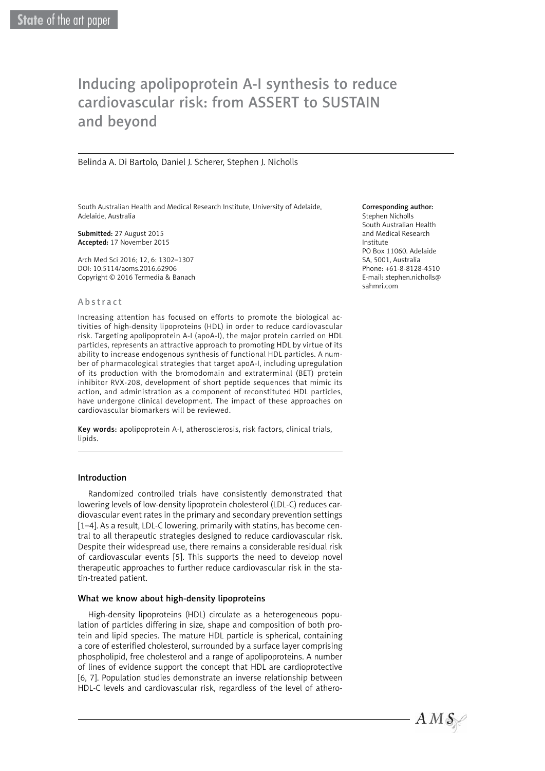# Inducing apolipoprotein A-I synthesis to reduce cardiovascular risk: from ASSERT to SUSTAIN and beyond

Belinda A. Di Bartolo, Daniel J. Scherer, Stephen J. Nicholls

South Australian Health and Medical Research Institute, University of Adelaide, Adelaide, Australia

Submitted: 27 August 2015 Accepted: 17 November 2015

Arch Med Sci 2016; 12, 6: 1302–1307 DOI: 10.5114/aoms.2016.62906 Copyright © 2016 Termedia & Banach

#### Abstract

Increasing attention has focused on efforts to promote the biological activities of high-density lipoproteins (HDL) in order to reduce cardiovascular risk. Targeting apolipoprotein A-I (apoA-I), the major protein carried on HDL particles, represents an attractive approach to promoting HDL by virtue of its ability to increase endogenous synthesis of functional HDL particles. A number of pharmacological strategies that target apoA-I, including upregulation of its production with the bromodomain and extraterminal (BET) protein inhibitor RVX-208, development of short peptide sequences that mimic its action, and administration as a component of reconstituted HDL particles, have undergone clinical development. The impact of these approaches on cardiovascular biomarkers will be reviewed.

Key words: apolipoprotein A-I, atherosclerosis, risk factors, clinical trials, lipids.

## Introduction

Randomized controlled trials have consistently demonstrated that lowering levels of low-density lipoprotein cholesterol (LDL-C) reduces cardiovascular event rates in the primary and secondary prevention settings [1–4]. As a result, LDL-C lowering, primarily with statins, has become central to all therapeutic strategies designed to reduce cardiovascular risk. Despite their widespread use, there remains a considerable residual risk of cardiovascular events [5]. This supports the need to develop novel therapeutic approaches to further reduce cardiovascular risk in the statin-treated patient.

## What we know about high-density lipoproteins

High-density lipoproteins (HDL) circulate as a heterogeneous population of particles differing in size, shape and composition of both protein and lipid species. The mature HDL particle is spherical, containing a core of esterified cholesterol, surrounded by a surface layer comprising phospholipid, free cholesterol and a range of apolipoproteins. A number of lines of evidence support the concept that HDL are cardioprotective [6, 7]. Population studies demonstrate an inverse relationship between HDL-C levels and cardiovascular risk, regardless of the level of athero-

#### Corresponding author:

Stephen Nicholls South Australian Health and Medical Research Institute PO Box 11060. Adelaide SA, 5001, Australia Phone: +61-8-8128-4510 E-mail: [stephen.nicholls@](mailto:stephen.nicholls@sahmri.com) [sahmri.com](mailto:stephen.nicholls@sahmri.com)

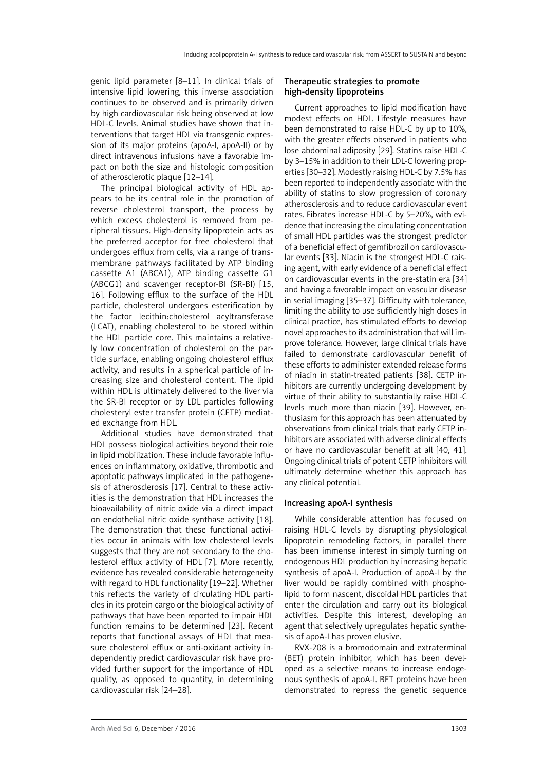genic lipid parameter [8–11]. In clinical trials of intensive lipid lowering, this inverse association continues to be observed and is primarily driven by high cardiovascular risk being observed at low HDL-C levels. Animal studies have shown that interventions that target HDL via transgenic expression of its major proteins (apoA-I, apoA-II) or by direct intravenous infusions have a favorable impact on both the size and histologic composition of atherosclerotic plaque [12–14].

The principal biological activity of HDL appears to be its central role in the promotion of reverse cholesterol transport, the process by which excess cholesterol is removed from peripheral tissues. High-density lipoprotein acts as the preferred acceptor for free cholesterol that undergoes efflux from cells, via a range of transmembrane pathways facilitated by ATP binding cassette A1 (ABCA1), ATP binding cassette G1 (ABCG1) and scavenger receptor-BI (SR-BI) [15, 16]. Following efflux to the surface of the HDL particle, cholesterol undergoes esterification by the factor lecithin:cholesterol acyltransferase (LCAT), enabling cholesterol to be stored within the HDL particle core. This maintains a relatively low concentration of cholesterol on the particle surface, enabling ongoing cholesterol efflux activity, and results in a spherical particle of increasing size and cholesterol content. The lipid within HDL is ultimately delivered to the liver via the SR-BI receptor or by LDL particles following cholesteryl ester transfer protein (CETP) mediated exchange from HDL.

Additional studies have demonstrated that HDL possess biological activities beyond their role in lipid mobilization. These include favorable influences on inflammatory, oxidative, thrombotic and apoptotic pathways implicated in the pathogenesis of atherosclerosis [17]. Central to these activities is the demonstration that HDL increases the bioavailability of nitric oxide via a direct impact on endothelial nitric oxide synthase activity [18]. The demonstration that these functional activities occur in animals with low cholesterol levels suggests that they are not secondary to the cholesterol efflux activity of HDL [7]. More recently, evidence has revealed considerable heterogeneity with regard to HDL functionality [19–22]. Whether this reflects the variety of circulating HDL particles in its protein cargo or the biological activity of pathways that have been reported to impair HDL function remains to be determined [23]. Recent reports that functional assays of HDL that measure cholesterol efflux or anti-oxidant activity independently predict cardiovascular risk have provided further support for the importance of HDL quality, as opposed to quantity, in determining cardiovascular risk [24–28].

## Therapeutic strategies to promote high-density lipoproteins

Current approaches to lipid modification have modest effects on HDL. Lifestyle measures have been demonstrated to raise HDL-C by up to 10%, with the greater effects observed in patients who lose abdominal adiposity [29]. Statins raise HDL-C by 3–15% in addition to their LDL-C lowering properties [30–32]. Modestly raising HDL-C by 7.5% has been reported to independently associate with the ability of statins to slow progression of coronary atherosclerosis and to reduce cardiovascular event rates. Fibrates increase HDL-C by 5–20%, with evidence that increasing the circulating concentration of small HDL particles was the strongest predictor of a beneficial effect of gemfibrozil on cardiovascular events [33]. Niacin is the strongest HDL-C raising agent, with early evidence of a beneficial effect on cardiovascular events in the pre-statin era [34] and having a favorable impact on vascular disease in serial imaging [35–37]. Difficulty with tolerance, limiting the ability to use sufficiently high doses in clinical practice, has stimulated efforts to develop novel approaches to its administration that will improve tolerance. However, large clinical trials have failed to demonstrate cardiovascular benefit of these efforts to administer extended release forms of niacin in statin-treated patients [38]. CETP inhibitors are currently undergoing development by virtue of their ability to substantially raise HDL-C levels much more than niacin [39]. However, enthusiasm for this approach has been attenuated by observations from clinical trials that early CETP inhibitors are associated with adverse clinical effects or have no cardiovascular benefit at all [40, 41]. Ongoing clinical trials of potent CETP inhibitors will ultimately determine whether this approach has any clinical potential.

## Increasing apoA-I synthesis

While considerable attention has focused on raising HDL-C levels by disrupting physiological lipoprotein remodeling factors, in parallel there has been immense interest in simply turning on endogenous HDL production by increasing hepatic synthesis of apoA-I. Production of apoA-I by the liver would be rapidly combined with phospholipid to form nascent, discoidal HDL particles that enter the circulation and carry out its biological activities. Despite this interest, developing an agent that selectively upregulates hepatic synthesis of apoA-I has proven elusive.

RVX-208 is a bromodomain and extraterminal (BET) protein inhibitor, which has been developed as a selective means to increase endogenous synthesis of apoA-I. BET proteins have been demonstrated to repress the genetic sequence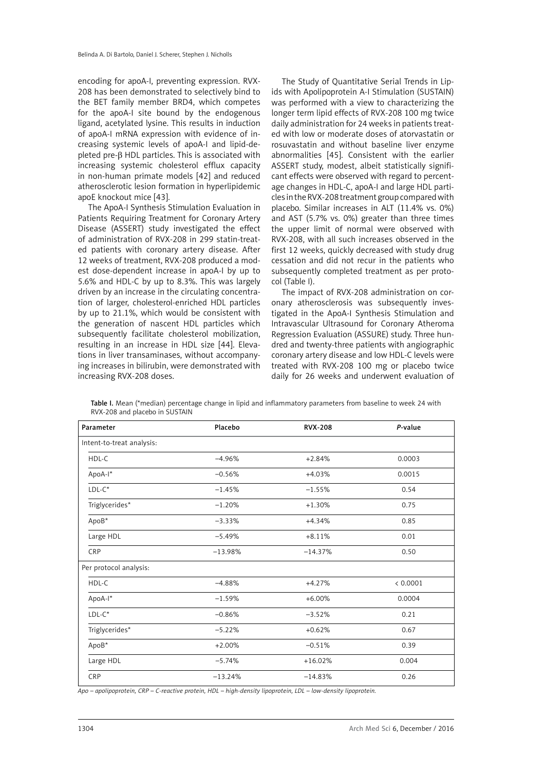encoding for apoA-I, preventing expression. RVX-208 has been demonstrated to selectively bind to the BET family member BRD4, which competes for the apoA-I site bound by the endogenous ligand, acetylated lysine. This results in induction of apoA-I mRNA expression with evidence of increasing systemic levels of apoA-I and lipid-de $p$ leted pre- $\beta$  HDL particles. This is associated with increasing systemic cholesterol efflux capacity in non-human primate models [42] and reduced atherosclerotic lesion formation in hyperlipidemic apoE knockout mice [43].

The ApoA-I Synthesis Stimulation Evaluation in Patients Requiring Treatment for Coronary Artery Disease (ASSERT) study investigated the effect of administration of RVX-208 in 299 statin-treated patients with coronary artery disease. After 12 weeks of treatment, RVX-208 produced a modest dose-dependent increase in apoA-I by up to 5.6% and HDL-C by up to 8.3%. This was largely driven by an increase in the circulating concentration of larger, cholesterol-enriched HDL particles by up to 21.1%, which would be consistent with the generation of nascent HDL particles which subsequently facilitate cholesterol mobilization, resulting in an increase in HDL size [44]. Elevations in liver transaminases, without accompanying increases in bilirubin, were demonstrated with increasing RVX-208 doses.

The Study of Quantitative Serial Trends in Lipids with Apolipoprotein A-I Stimulation (SUSTAIN) was performed with a view to characterizing the longer term lipid effects of RVX-208 100 mg twice daily administration for 24 weeks in patients treated with low or moderate doses of atorvastatin or rosuvastatin and without baseline liver enzyme abnormalities [45]. Consistent with the earlier ASSERT study, modest, albeit statistically significant effects were observed with regard to percentage changes in HDL-C, apoA-I and large HDL particles in the RVX-208 treatment group compared with placebo. Similar increases in ALT (11.4% vs. 0%) and AST (5.7% vs. 0%) greater than three times the upper limit of normal were observed with RVX-208, with all such increases observed in the first 12 weeks, quickly decreased with study drug cessation and did not recur in the patients who subsequently completed treatment as per protocol (Table I).

The impact of RVX-208 administration on coronary atherosclerosis was subsequently investigated in the ApoA-I Synthesis Stimulation and Intravascular Ultrasound for Coronary Atheroma Regression Evaluation (ASSURE) study. Three hundred and twenty-three patients with angiographic coronary artery disease and low HDL-C levels were treated with RVX-208 100 mg or placebo twice daily for 26 weeks and underwent evaluation of

| Parameter                 | Placebo   | <b>RVX-208</b> | P-value  |
|---------------------------|-----------|----------------|----------|
| Intent-to-treat analysis: |           |                |          |
| HDL-C                     | $-4.96%$  | $+2.84%$       | 0.0003   |
| ApoA-I*                   | $-0.56%$  | $+4.03%$       | 0.0015   |
| $LDL-C^*$                 | $-1.45%$  | $-1.55%$       | 0.54     |
| Triglycerides*            | $-1.20%$  | $+1.30%$       | 0.75     |
| ApoB*                     | $-3.33%$  | $+4.34%$       | 0.85     |
| Large HDL                 | $-5.49%$  | $+8.11%$       | 0.01     |
| CRP                       | $-13.98%$ | $-14.37%$      | 0.50     |
| Per protocol analysis:    |           |                |          |
| HDL-C                     | $-4.88%$  | $+4.27%$       | < 0.0001 |
| ApoA-I*                   | $-1.59%$  | $+6.00%$       | 0.0004   |
| $LDL-C*$                  | $-0.86%$  | $-3.52%$       | 0.21     |
| Triglycerides*            | $-5.22%$  | $+0.62%$       | 0.67     |
| ApoB*                     | $+2.00%$  | $-0.51%$       | 0.39     |
| Large HDL                 | $-5.74%$  | $+16.02%$      | 0.004    |
| CRP                       | $-13.24%$ | $-14.83%$      | 0.26     |

Table I. Mean (\*median) percentage change in lipid and inflammatory parameters from baseline to week 24 with RVX-208 and placebo in SUSTAIN

*Apo – apolipoprotein, CRP – C-reactive protein, HDL – high-density lipoprotein, LDL – low-density lipoprotein.*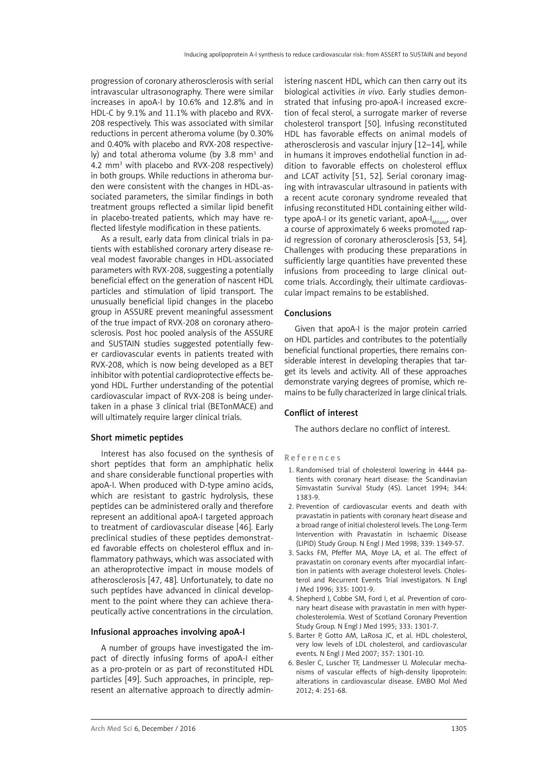progression of coronary atherosclerosis with serial intravascular ultrasonography. There were similar increases in apoA-I by 10.6% and 12.8% and in HDL-C by 9.1% and 11.1% with placebo and RVX-208 respectively. This was associated with similar reductions in percent atheroma volume (by 0.30% and 0.40% with placebo and RVX-208 respectively) and total atheroma volume (by 3.8 mm<sup>3</sup> and 4.2 mm<sup>3</sup> with placebo and RVX-208 respectively) in both groups. While reductions in atheroma burden were consistent with the changes in HDL-associated parameters, the similar findings in both treatment groups reflected a similar lipid benefit in placebo-treated patients, which may have reflected lifestyle modification in these patients.

As a result, early data from clinical trials in patients with established coronary artery disease reveal modest favorable changes in HDL-associated parameters with RVX-208, suggesting a potentially beneficial effect on the generation of nascent HDL particles and stimulation of lipid transport. The unusually beneficial lipid changes in the placebo group in ASSURE prevent meaningful assessment of the true impact of RVX-208 on coronary atherosclerosis. Post hoc pooled analysis of the ASSURE and SUSTAIN studies suggested potentially fewer cardiovascular events in patients treated with RVX-208, which is now being developed as a BET inhibitor with potential cardioprotective effects beyond HDL. Further understanding of the potential cardiovascular impact of RVX-208 is being undertaken in a phase 3 clinical trial (BETonMACE) and will ultimately require larger clinical trials.

## Short mimetic peptides

Interest has also focused on the synthesis of short peptides that form an amphiphatic helix and share considerable functional properties with apoA-I. When produced with D-type amino acids, which are resistant to gastric hydrolysis, these peptides can be administered orally and therefore represent an additional apoA-I targeted approach to treatment of cardiovascular disease [46]. Early preclinical studies of these peptides demonstrated favorable effects on cholesterol efflux and inflammatory pathways, which was associated with an atheroprotective impact in mouse models of atherosclerosis [47, 48]. Unfortunately, to date no such peptides have advanced in clinical development to the point where they can achieve therapeutically active concentrations in the circulation.

#### Infusional approaches involving apoA-I

A number of groups have investigated the impact of directly infusing forms of apoA-I either as a pro-protein or as part of reconstituted HDL particles [49]. Such approaches, in principle, represent an alternative approach to directly administering nascent HDL, which can then carry out its biological activities *in vivo*. Early studies demonstrated that infusing pro-apoA-I increased excretion of fecal sterol, a surrogate marker of reverse cholesterol transport [50]. Infusing reconstituted HDL has favorable effects on animal models of atherosclerosis and vascular injury [12–14], while in humans it improves endothelial function in addition to favorable effects on cholesterol efflux and LCAT activity [51, 52]. Serial coronary imaging with intravascular ultrasound in patients with a recent acute coronary syndrome revealed that infusing reconstituted HDL containing either wildtype apoA-I or its genetic variant, apoA- $I_{\text{Milano}}$ , over a course of approximately 6 weeks promoted rapid regression of coronary atherosclerosis [53, 54]. Challenges with producing these preparations in sufficiently large quantities have prevented these infusions from proceeding to large clinical outcome trials. Accordingly, their ultimate cardiovascular impact remains to be established.

#### Conclusions

Given that apoA-I is the major protein carried on HDL particles and contributes to the potentially beneficial functional properties, there remains considerable interest in developing therapies that target its levels and activity. All of these approaches demonstrate varying degrees of promise, which remains to be fully characterized in large clinical trials.

## Conflict of interest

The authors declare no conflict of interest.

#### References

- 1. Randomised trial of cholesterol lowering in 4444 patients with coronary heart disease: the Scandinavian Simvastatin Survival Study (4S). Lancet 1994; 344: 1383-9.
- 2. Prevention of cardiovascular events and death with pravastatin in patients with coronary heart disease and a broad range of initial cholesterol levels. The Long-Term Intervention with Pravastatin in Ischaemic Disease (LIPID) Study Group. N Engl J Med 1998; 339: 1349-57.
- 3. Sacks FM, Pfeffer MA, Moye LA, et al. The effect of pravastatin on coronary events after myocardial infarction in patients with average cholesterol levels. Cholesterol and Recurrent Events Trial investigators. N Engl J Med 1996; 335: 1001-9.
- 4. Shepherd J, Cobbe SM, Ford I, et al. Prevention of coronary heart disease with pravastatin in men with hypercholesterolemia. West of Scotland Coronary Prevention Study Group. N Engl J Med 1995; 333: 1301-7.
- 5. Barter P, Gotto AM, LaRosa JC, et al. HDL cholesterol, very low levels of LDL cholesterol, and cardiovascular events. N Engl J Med 2007; 357: 1301-10.
- 6. Besler C, Luscher TF, Landmesser U. Molecular mechanisms of vascular effects of high-density lipoprotein: alterations in cardiovascular disease. EMBO Mol Med 2012; 4: 251-68.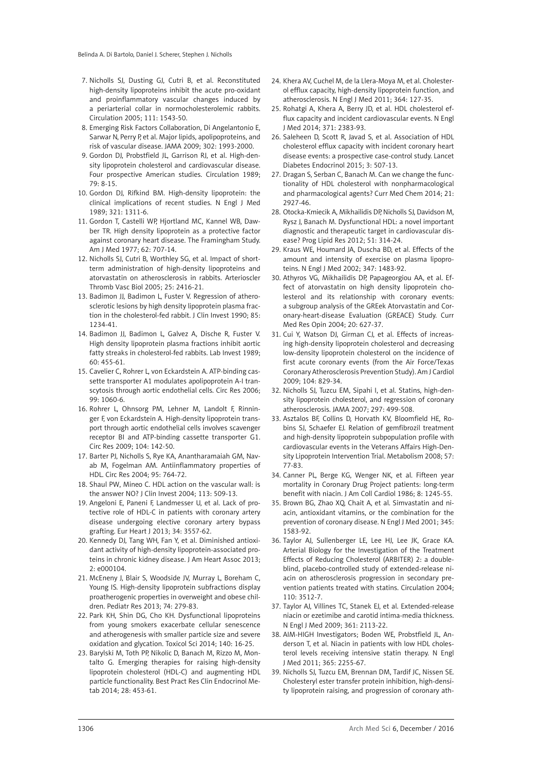- 7. Nicholls SJ, Dusting GJ, Cutri B, et al. Reconstituted high-density lipoproteins inhibit the acute pro-oxidant and proinflammatory vascular changes induced by a periarterial collar in normocholesterolemic rabbits. Circulation 2005; 111: 1543-50.
- 8. Emerging Risk Factors Collaboration, Di Angelantonio E, Sarwar N, Perry P, et al. Major lipids, apolipoproteins, and risk of vascular disease. JAMA 2009; 302: 1993-2000.
- 9. Gordon DJ, Probstfield JL, Garrison RJ, et al. High-density lipoprotein cholesterol and cardiovascular disease. Four prospective American studies. Circulation 1989; 79: 8-15.
- 10. Gordon DJ, Rifkind BM. High-density lipoprotein: the clinical implications of recent studies. N Engl J Med 1989; 321: 1311-6.
- 11. Gordon T, Castelli WP, Hjortland MC, Kannel WB, Dawber TR. High density lipoprotein as a protective factor against coronary heart disease. The Framingham Study. Am J Med 1977; 62: 707-14.
- 12. Nicholls SJ, Cutri B, Worthley SG, et al. Impact of shortterm administration of high-density lipoproteins and atorvastatin on atherosclerosis in rabbits. Arterioscler Thromb Vasc Biol 2005; 25: 2416-21.
- 13. Badimon JJ, Badimon L, Fuster V. Regression of atherosclerotic lesions by high density lipoprotein plasma fraction in the cholesterol-fed rabbit. J Clin Invest 1990; 85: 1234-41.
- 14. Badimon JJ, Badimon L, Galvez A, Dische R, Fuster V. High density lipoprotein plasma fractions inhibit aortic fatty streaks in cholesterol-fed rabbits. Lab Invest 1989; 60: 455-61.
- 15. Cavelier C, Rohrer L, von Eckardstein A. ATP-binding cassette transporter A1 modulates apolipoprotein A-I transcytosis through aortic endothelial cells. Circ Res 2006; 99: 1060-6.
- 16. Rohrer L, Ohnsorg PM, Lehner M, Landolt F, Rinninger F, von Eckardstein A. High-density lipoprotein transport through aortic endothelial cells involves scavenger receptor BI and ATP-binding cassette transporter G1. Circ Res 2009; 104: 142-50.
- 17. Barter PJ, Nicholls S, Rye KA, Anantharamaiah GM, Navab M, Fogelman AM. Antiinflammatory properties of HDL. Circ Res 2004; 95: 764-72.
- 18. Shaul PW, Mineo C. HDL action on the vascular wall: is the answer NO? J Clin Invest 2004; 113: 509-13.
- 19. Angeloni E, Paneni F, Landmesser U, et al. Lack of protective role of HDL-C in patients with coronary artery disease undergoing elective coronary artery bypass grafting. Eur Heart J 2013; 34: 3557-62.
- 20. Kennedy DJ, Tang WH, Fan Y, et al. Diminished antioxidant activity of high-density lipoprotein-associated proteins in chronic kidney disease. J Am Heart Assoc 2013; 2: e000104.
- 21. McEneny J, Blair S, Woodside JV, Murray L, Boreham C, Young IS. High-density lipoprotein subfractions display proatherogenic properties in overweight and obese children. Pediatr Res 2013; 74: 279-83.
- 22. Park KH, Shin DG, Cho KH. Dysfunctional lipoproteins from young smokers exacerbate cellular senescence and atherogenesis with smaller particle size and severe oxidation and glycation. Toxicol Sci 2014; 140: 16-25.
- 23. Barylski M, Toth PP, Nikolic D, Banach M, Rizzo M, Montalto G. Emerging therapies for raising high-density lipoprotein cholesterol (HDL-C) and augmenting HDL particle functionality. Best Pract Res Clin Endocrinol Metab 2014; 28: 453-61.
- 24. Khera AV, Cuchel M, de la Llera-Moya M, et al. Cholesterol efflux capacity, high-density lipoprotein function, and atherosclerosis. N Engl J Med 2011; 364: 127-35.
- 25. Rohatgi A, Khera A, Berry JD, et al. HDL cholesterol efflux capacity and incident cardiovascular events. N Engl J Med 2014; 371: 2383-93.
- 26. Saleheen D, Scott R, Javad S, et al. Association of HDL cholesterol efflux capacity with incident coronary heart disease events: a prospective case-control study. Lancet Diabetes Endocrinol 2015; 3: 507-13.
- 27. Dragan S, Serban C, Banach M. Can we change the functionality of HDL cholesterol with nonpharmacological and pharmacological agents? Curr Med Chem 2014; 21: 2927-46.
- 28. Otocka-Kmiecik A, Mikhailidis DP, Nicholls SJ, Davidson M, Rysz J, Banach M. Dysfunctional HDL: a novel important diagnostic and therapeutic target in cardiovascular disease? Prog Lipid Res 2012; 51: 314-24.
- 29. Kraus WE, Houmard JA, Duscha BD, et al. Effects of the amount and intensity of exercise on plasma lipoproteins. N Engl J Med 2002; 347: 1483-92.
- 30. Athyros VG, Mikhailidis DP, Papageorgiou AA, et al. Effect of atorvastatin on high density lipoprotein cholesterol and its relationship with coronary events: a subgroup analysis of the GREek Atorvastatin and Coronary-heart-disease Evaluation (GREACE) Study. Curr Med Res Opin 2004; 20: 627-37.
- 31. Cui Y, Watson DJ, Girman CJ, et al. Effects of increasing high-density lipoprotein cholesterol and decreasing low-density lipoprotein cholesterol on the incidence of first acute coronary events (from the Air Force/Texas Coronary Atherosclerosis Prevention Study). Am J Cardiol 2009; 104: 829-34.
- 32. Nicholls SJ, Tuzcu EM, Sipahi I, et al. Statins, high-density lipoprotein cholesterol, and regression of coronary atherosclerosis. JAMA 2007; 297: 499-508.
- 33. Asztalos BF, Collins D, Horvath KV, Bloomfield HE, Robins SJ, Schaefer EJ. Relation of gemfibrozil treatment and high-density lipoprotein subpopulation profile with cardiovascular events in the Veterans Affairs High-Density Lipoprotein Intervention Trial. Metabolism 2008; 57: 77-83.
- 34. Canner PL, Berge KG, Wenger NK, et al. Fifteen year mortality in Coronary Drug Project patients: long-term benefit with niacin. J Am Coll Cardiol 1986; 8: 1245-55.
- 35. Brown BG, Zhao XQ, Chait A, et al. Simvastatin and niacin, antioxidant vitamins, or the combination for the prevention of coronary disease. N Engl J Med 2001; 345: 1583-92.
- 36. Taylor AJ, Sullenberger LE, Lee HJ, Lee JK, Grace KA. Arterial Biology for the Investigation of the Treatment Effects of Reducing Cholesterol (ARBITER) 2: a doubleblind, placebo-controlled study of extended-release niacin on atherosclerosis progression in secondary prevention patients treated with statins. Circulation 2004; 110: 3512-7.
- 37. Taylor AJ, Villines TC, Stanek EJ, et al. Extended-release niacin or ezetimibe and carotid intima-media thickness. N Engl J Med 2009; 361: 2113-22.
- 38. AIM-HIGH Investigators; Boden WE, Probstfield JL, Anderson T, et al. Niacin in patients with low HDL cholesterol levels receiving intensive statin therapy. N Engl J Med 2011; 365: 2255-67.
- 39. Nicholls SJ, Tuzcu EM, Brennan DM, Tardif JC, Nissen SE. Cholesteryl ester transfer protein inhibition, high-density lipoprotein raising, and progression of coronary ath-